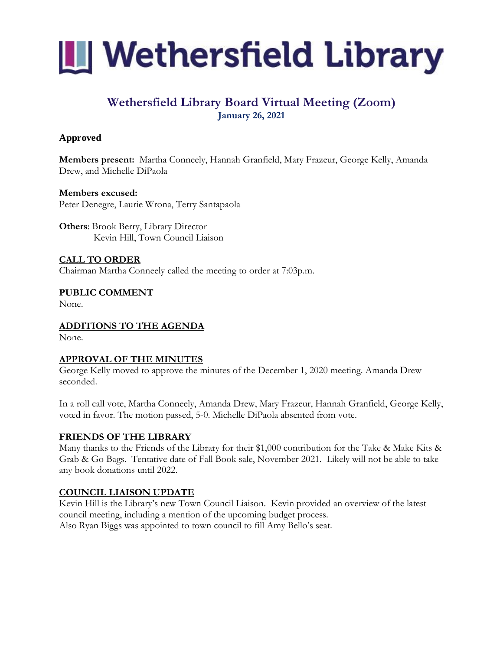

# **Wethersfield Library Board Virtual Meeting (Zoom) January 26, 2021**

# **Approved**

**Members present:** Martha Conneely, Hannah Granfield, Mary Frazeur, George Kelly, Amanda Drew, and Michelle DiPaola

**Members excused:** Peter Denegre, Laurie Wrona, Terry Santapaola

**Others**: Brook Berry, Library Director Kevin Hill, Town Council Liaison

# **CALL TO ORDER**

Chairman Martha Conneely called the meeting to order at 7:03p.m.

**PUBLIC COMMENT**

None.

# **ADDITIONS TO THE AGENDA**

None.

### **APPROVAL OF THE MINUTES**

George Kelly moved to approve the minutes of the December 1, 2020 meeting. Amanda Drew seconded.

In a roll call vote, Martha Conneely, Amanda Drew, Mary Frazeur, Hannah Granfield, George Kelly, voted in favor. The motion passed, 5-0. Michelle DiPaola absented from vote.

### **FRIENDS OF THE LIBRARY**

Many thanks to the Friends of the Library for their \$1,000 contribution for the Take & Make Kits & Grab & Go Bags. Tentative date of Fall Book sale, November 2021. Likely will not be able to take any book donations until 2022.

### **COUNCIL LIAISON UPDATE**

Kevin Hill is the Library's new Town Council Liaison. Kevin provided an overview of the latest council meeting, including a mention of the upcoming budget process. Also Ryan Biggs was appointed to town council to fill Amy Bello's seat.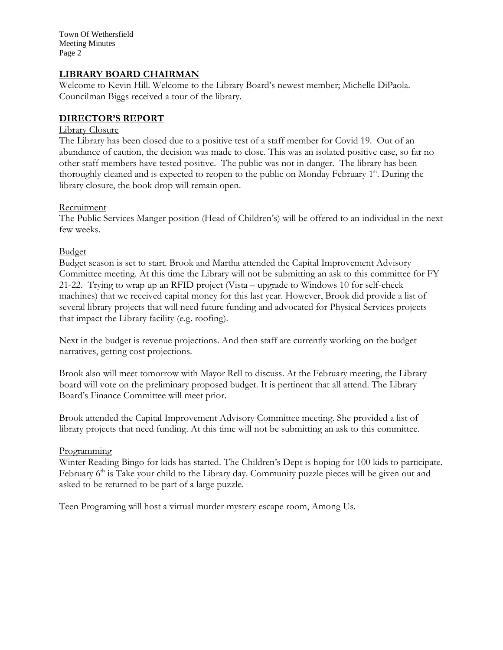Town Of Wethersfield Meeting Minutes Page 2

# **LIBRARY BOARD CHAIRMAN**

Welcome to Kevin Hill. Welcome to the Library Board's newest member; Michelle DiPaola. Councilman Biggs received a tour of the library.

#### **DIRECTOR'S REPORT**

#### Library Closure

The Library has been closed due to a positive test of a staff member for Covid 19. Out of an abundance of caution, the decision was made to close. This was an isolated positive case, so far no other staff members have tested positive. The public was not in danger. The library has been thoroughly cleaned and is expected to reopen to the public on Monday February 1st. During the library closure, the book drop will remain open.

#### Recruitment

The Public Services Manger position (Head of Children's) will be offered to an individual in the next few weeks.

#### Budget

Budget season is set to start. Brook and Martha attended the Capital Improvement Advisory Committee meeting. At this time the Library will not be submitting an ask to this committee for FY 21-22. Trying to wrap up an RFID project (Vista – upgrade to Windows 10 for self-check machines) that we received capital money for this last year. However, Brook did provide a list of several library projects that will need future funding and advocated for Physical Services projects that impact the Library facility (e.g. roofing).

Next in the budget is revenue projections. And then staff are currently working on the budget narratives, getting cost projections.

Brook also will meet tomorrow with Mayor Rell to discuss. At the February meeting, the Library board will vote on the preliminary proposed budget. It is pertinent that all attend. The Library Board's Finance Committee will meet prior.

Brook attended the Capital Improvement Advisory Committee meeting. She provided a list of library projects that need funding. At this time will not be submitting an ask to this committee.

#### **Programming**

Winter Reading Bingo for kids has started. The Children's Dept is hoping for 100 kids to participate. February 6<sup>th</sup> is Take your child to the Library day. Community puzzle pieces will be given out and asked to be returned to be part of a large puzzle.

Teen Programing will host a virtual murder mystery escape room, Among Us.